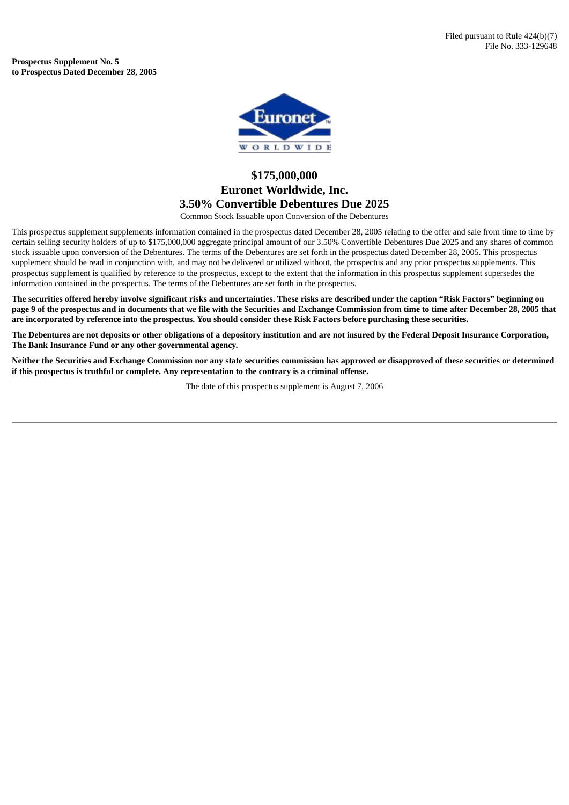**Prospectus Supplement No. 5 to Prospectus Dated December 28, 2005**



## **\$175,000,000 Euronet Worldwide, Inc. 3.50% Convertible Debentures Due 2025**

Common Stock Issuable upon Conversion of the Debentures

This prospectus supplement supplements information contained in the prospectus dated December 28, 2005 relating to the offer and sale from time to time by certain selling security holders of up to \$175,000,000 aggregate principal amount of our 3.50% Convertible Debentures Due 2025 and any shares of common stock issuable upon conversion of the Debentures. The terms of the Debentures are set forth in the prospectus dated December 28, 2005. This prospectus supplement should be read in conjunction with, and may not be delivered or utilized without, the prospectus and any prior prospectus supplements. This prospectus supplement is qualified by reference to the prospectus, except to the extent that the information in this prospectus supplement supersedes the information contained in the prospectus. The terms of the Debentures are set forth in the prospectus.

The securities offered hereby involve significant risks and uncertainties. These risks are described under the caption "Risk Factors" beginning on page 9 of the prospectus and in documents that we file with the Securities and Exchange Commission from time to time after December 28, 2005 that are incorporated by reference into the prospectus. You should consider these Risk Factors before purchasing these securities.

The Debentures are not deposits or other obligations of a depository institution and are not insured by the Federal Deposit Insurance Corporation, **The Bank Insurance Fund or any other governmental agency.**

Neither the Securities and Exchange Commission nor any state securities commission has approved or disapproved of these securities or determined **if this prospectus is truthful or complete. Any representation to the contrary is a criminal offense.**

The date of this prospectus supplement is August 7, 2006